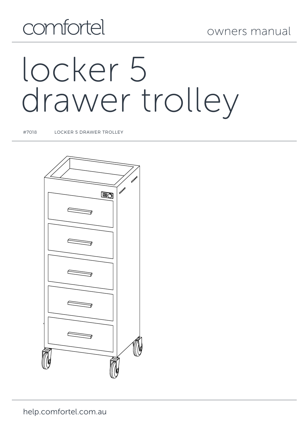## comfortel

# locker 5 drawer trolley

#7018 LOCKER 5 DRAWER TROLLEY